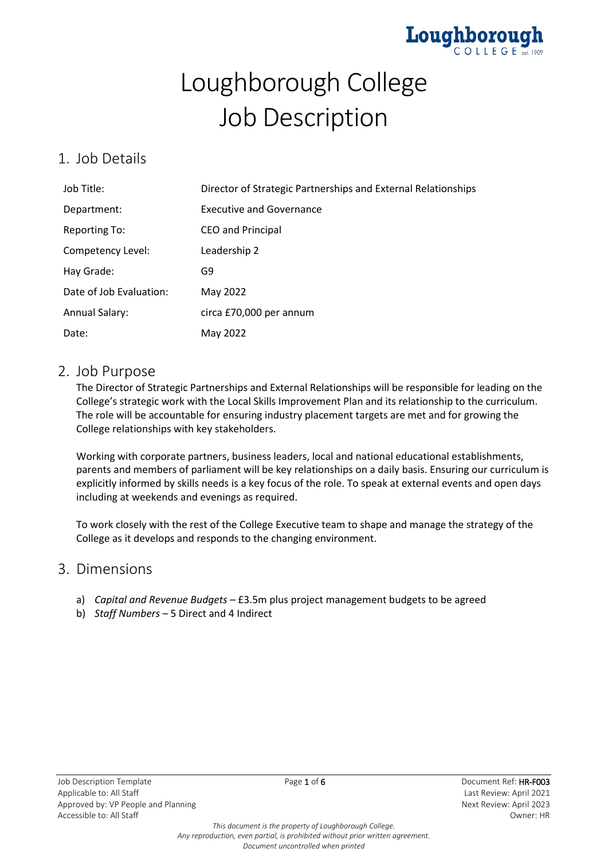

# Loughborough College Job Description

## 1. Job Details

| Job Title:              | Director of Strategic Partnerships and External Relationships |
|-------------------------|---------------------------------------------------------------|
| Department:             | <b>Executive and Governance</b>                               |
| <b>Reporting To:</b>    | <b>CEO and Principal</b>                                      |
| Competency Level:       | Leadership 2                                                  |
| Hay Grade:              | G9                                                            |
| Date of Job Evaluation: | May 2022                                                      |
| <b>Annual Salary:</b>   | circa £70,000 per annum                                       |
| Date:                   | May 2022                                                      |

### 2. Job Purpose

The Director of Strategic Partnerships and External Relationships will be responsible for leading on the College's strategic work with the Local Skills Improvement Plan and its relationship to the curriculum. The role will be accountable for ensuring industry placement targets are met and for growing the College relationships with key stakeholders.

Working with corporate partners, business leaders, local and national educational establishments, parents and members of parliament will be key relationships on a daily basis. Ensuring our curriculum is explicitly informed by skills needs is a key focus of the role. To speak at external events and open days including at weekends and evenings as required.

To work closely with the rest of the College Executive team to shape and manage the strategy of the College as it develops and responds to the changing environment.

## 3. Dimensions

- a) *Capital and Revenue Budgets* £3.5m plus project management budgets to be agreed
- b) *Staff Numbers*  5 Direct and 4 Indirect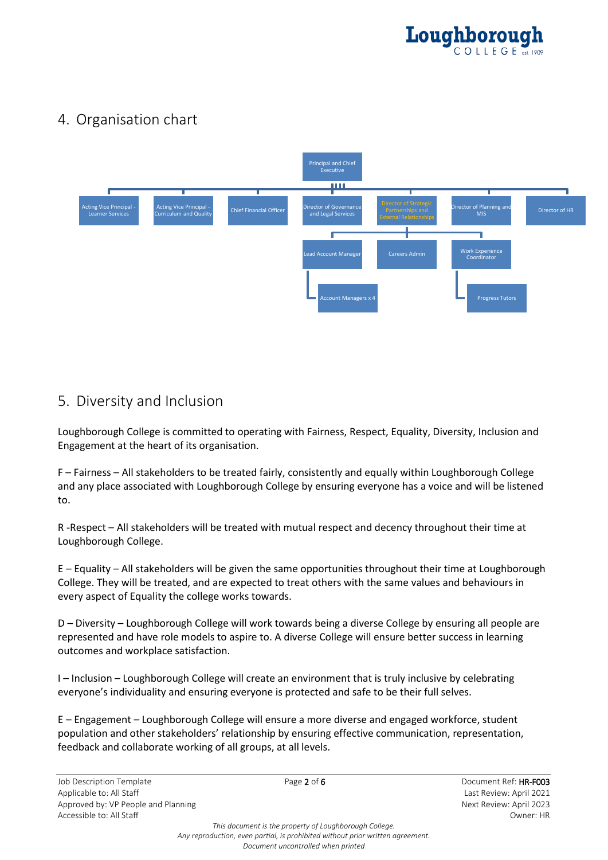

# 4. Organisation chart



## 5. Diversity and Inclusion

Loughborough College is committed to operating with Fairness, Respect, Equality, Diversity, Inclusion and Engagement at the heart of its organisation.

F – Fairness – All stakeholders to be treated fairly, consistently and equally within Loughborough College and any place associated with Loughborough College by ensuring everyone has a voice and will be listened to.

R -Respect – All stakeholders will be treated with mutual respect and decency throughout their time at Loughborough College.

E – Equality – All stakeholders will be given the same opportunities throughout their time at Loughborough College. They will be treated, and are expected to treat others with the same values and behaviours in every aspect of Equality the college works towards.

D – Diversity – Loughborough College will work towards being a diverse College by ensuring all people are represented and have role models to aspire to. A diverse College will ensure better success in learning outcomes and workplace satisfaction.

I – Inclusion – Loughborough College will create an environment that is truly inclusive by celebrating everyone's individuality and ensuring everyone is protected and safe to be their full selves.

E – Engagement – Loughborough College will ensure a more diverse and engaged workforce, student population and other stakeholders' relationship by ensuring effective communication, representation, feedback and collaborate working of all groups, at all levels.

*This document is the property of Loughborough College. Any reproduction, even partial, is prohibited without prior written agreement. Document uncontrolled when printed*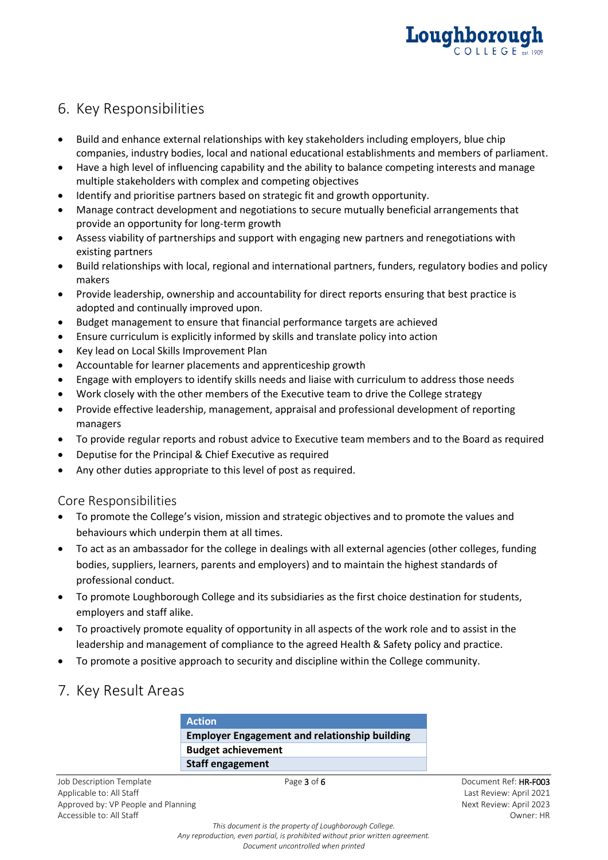

# 6. Key Responsibilities

- Build and enhance external relationships with key stakeholders including employers, blue chip companies, industry bodies, local and national educational establishments and members of parliament.
- Have a high level of influencing capability and the ability to balance competing interests and manage multiple stakeholders with complex and competing objectives
- Identify and prioritise partners based on strategic fit and growth opportunity.
- Manage contract development and negotiations to secure mutually beneficial arrangements that provide an opportunity for long-term growth
- Assess viability of partnerships and support with engaging new partners and renegotiations with existing partners
- Build relationships with local, regional and international partners, funders, regulatory bodies and policy makers
- Provide leadership, ownership and accountability for direct reports ensuring that best practice is adopted and continually improved upon.
- Budget management to ensure that financial performance targets are achieved
- Ensure curriculum is explicitly informed by skills and translate policy into action
- Key lead on Local Skills Improvement Plan
- Accountable for learner placements and apprenticeship growth
- Engage with employers to identify skills needs and liaise with curriculum to address those needs
- Work closely with the other members of the Executive team to drive the College strategy
- Provide effective leadership, management, appraisal and professional development of reporting managers
- To provide regular reports and robust advice to Executive team members and to the Board as required
- Deputise for the Principal & Chief Executive as required
- Any other duties appropriate to this level of post as required.

#### Core Responsibilities

- To promote the College's vision, mission and strategic objectives and to promote the values and behaviours which underpin them at all times.
- To act as an ambassador for the college in dealings with all external agencies (other colleges, funding bodies, suppliers, learners, parents and employers) and to maintain the highest standards of professional conduct.
- To promote Loughborough College and its subsidiaries as the first choice destination for students, employers and staff alike.
- To proactively promote equality of opportunity in all aspects of the work role and to assist in the leadership and management of compliance to the agreed Health & Safety policy and practice.
- To promote a positive approach to security and discipline within the College community.
- 7. Key Result Areas

**Action Employer Engagement and relationship building Budget achievement Staff engagement**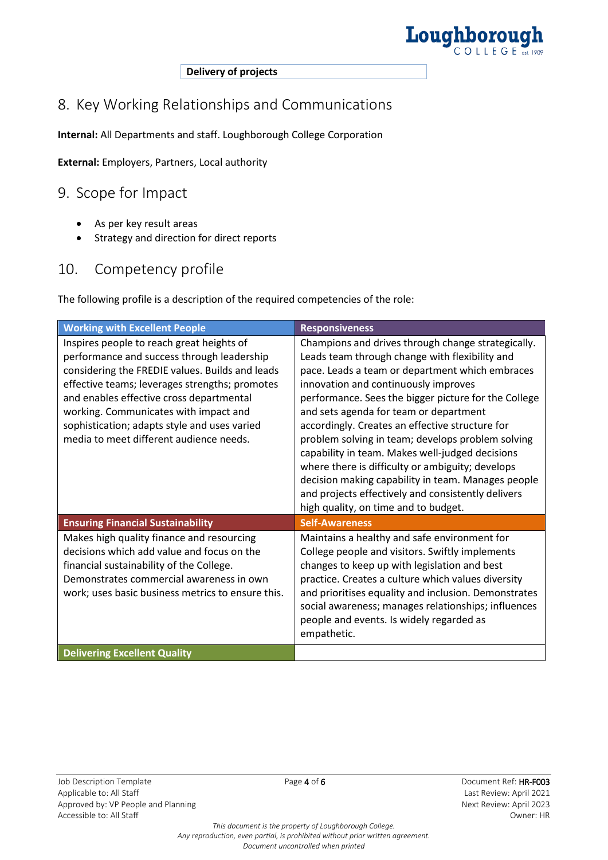

**Delivery of projects**

# 8. Key Working Relationships and Communications

**Internal:** All Departments and staff. Loughborough College Corporation

**External:** Employers, Partners, Local authority

## 9. Scope for Impact

- As per key result areas
- Strategy and direction for direct reports

## 10. Competency profile

The following profile is a description of the required competencies of the role:

| <b>Working with Excellent People</b>                                                                                                                                                                                                                                                                                                                                         | <b>Responsiveness</b>                                                                                                                                                                                                                                                                                                                                                                                                                                                                                                                                                                                                                                                |
|------------------------------------------------------------------------------------------------------------------------------------------------------------------------------------------------------------------------------------------------------------------------------------------------------------------------------------------------------------------------------|----------------------------------------------------------------------------------------------------------------------------------------------------------------------------------------------------------------------------------------------------------------------------------------------------------------------------------------------------------------------------------------------------------------------------------------------------------------------------------------------------------------------------------------------------------------------------------------------------------------------------------------------------------------------|
| Inspires people to reach great heights of<br>performance and success through leadership<br>considering the FREDIE values. Builds and leads<br>effective teams; leverages strengths; promotes<br>and enables effective cross departmental<br>working. Communicates with impact and<br>sophistication; adapts style and uses varied<br>media to meet different audience needs. | Champions and drives through change strategically.<br>Leads team through change with flexibility and<br>pace. Leads a team or department which embraces<br>innovation and continuously improves<br>performance. Sees the bigger picture for the College<br>and sets agenda for team or department<br>accordingly. Creates an effective structure for<br>problem solving in team; develops problem solving<br>capability in team. Makes well-judged decisions<br>where there is difficulty or ambiguity; develops<br>decision making capability in team. Manages people<br>and projects effectively and consistently delivers<br>high quality, on time and to budget. |
| <b>Ensuring Financial Sustainability</b>                                                                                                                                                                                                                                                                                                                                     | <b>Self-Awareness</b>                                                                                                                                                                                                                                                                                                                                                                                                                                                                                                                                                                                                                                                |
| Makes high quality finance and resourcing<br>decisions which add value and focus on the<br>financial sustainability of the College.<br>Demonstrates commercial awareness in own<br>work; uses basic business metrics to ensure this.                                                                                                                                         | Maintains a healthy and safe environment for<br>College people and visitors. Swiftly implements<br>changes to keep up with legislation and best<br>practice. Creates a culture which values diversity<br>and prioritises equality and inclusion. Demonstrates<br>social awareness; manages relationships; influences<br>people and events. Is widely regarded as<br>empathetic.                                                                                                                                                                                                                                                                                      |
| <b>Delivering Excellent Quality</b>                                                                                                                                                                                                                                                                                                                                          |                                                                                                                                                                                                                                                                                                                                                                                                                                                                                                                                                                                                                                                                      |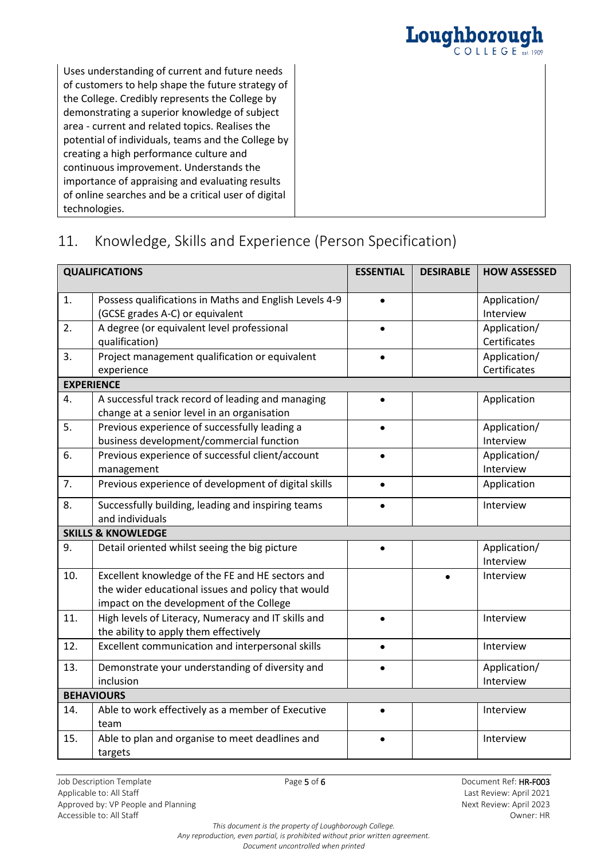

Uses understanding of current and future needs of customers to help shape the future strategy of the College. Credibly represents the College by demonstrating a superior knowledge of subject area - current and related topics. Realises the potential of individuals, teams and the College by creating a high performance culture and continuous improvement. Understands the importance of appraising and evaluating results of online searches and be a critical user of digital technologies.

# 11. Knowledge, Skills and Experience (Person Specification)

| <b>QUALIFICATIONS</b> |                                                                                                                                                    | <b>ESSENTIAL</b> | <b>DESIRABLE</b> | <b>HOW ASSESSED</b>          |
|-----------------------|----------------------------------------------------------------------------------------------------------------------------------------------------|------------------|------------------|------------------------------|
| 1.                    | Possess qualifications in Maths and English Levels 4-9<br>(GCSE grades A-C) or equivalent                                                          |                  |                  | Application/<br>Interview    |
| 2.                    | A degree (or equivalent level professional<br>qualification)                                                                                       |                  |                  | Application/<br>Certificates |
| 3.                    | Project management qualification or equivalent<br>experience                                                                                       |                  |                  | Application/<br>Certificates |
|                       | <b>EXPERIENCE</b>                                                                                                                                  |                  |                  |                              |
| 4.                    | A successful track record of leading and managing<br>change at a senior level in an organisation                                                   | $\bullet$        |                  | Application                  |
| 5.                    | Previous experience of successfully leading a<br>business development/commercial function                                                          | $\bullet$        |                  | Application/<br>Interview    |
| 6.                    | Previous experience of successful client/account<br>management                                                                                     |                  |                  | Application/<br>Interview    |
| 7.                    | Previous experience of development of digital skills                                                                                               |                  |                  | Application                  |
| 8.                    | Successfully building, leading and inspiring teams<br>and individuals                                                                              | $\bullet$        |                  | Interview                    |
|                       | <b>SKILLS &amp; KNOWLEDGE</b>                                                                                                                      |                  |                  |                              |
| 9.                    | Detail oriented whilst seeing the big picture                                                                                                      |                  |                  | Application/<br>Interview    |
| 10.                   | Excellent knowledge of the FE and HE sectors and<br>the wider educational issues and policy that would<br>impact on the development of the College |                  |                  | Interview                    |
| 11.                   | High levels of Literacy, Numeracy and IT skills and<br>the ability to apply them effectively                                                       | $\bullet$        |                  | Interview                    |
| 12.                   | Excellent communication and interpersonal skills                                                                                                   | $\bullet$        |                  | Interview                    |
| 13.                   | Demonstrate your understanding of diversity and<br>inclusion                                                                                       |                  |                  | Application/<br>Interview    |
|                       | <b>BEHAVIOURS</b>                                                                                                                                  |                  |                  |                              |
| 14.                   | Able to work effectively as a member of Executive<br>team                                                                                          |                  |                  | Interview                    |
| 15.                   | Able to plan and organise to meet deadlines and<br>targets                                                                                         | $\bullet$        |                  | Interview                    |

*This document is the property of Loughborough College. Any reproduction, even partial, is prohibited without prior written agreement. Document uncontrolled when printed*